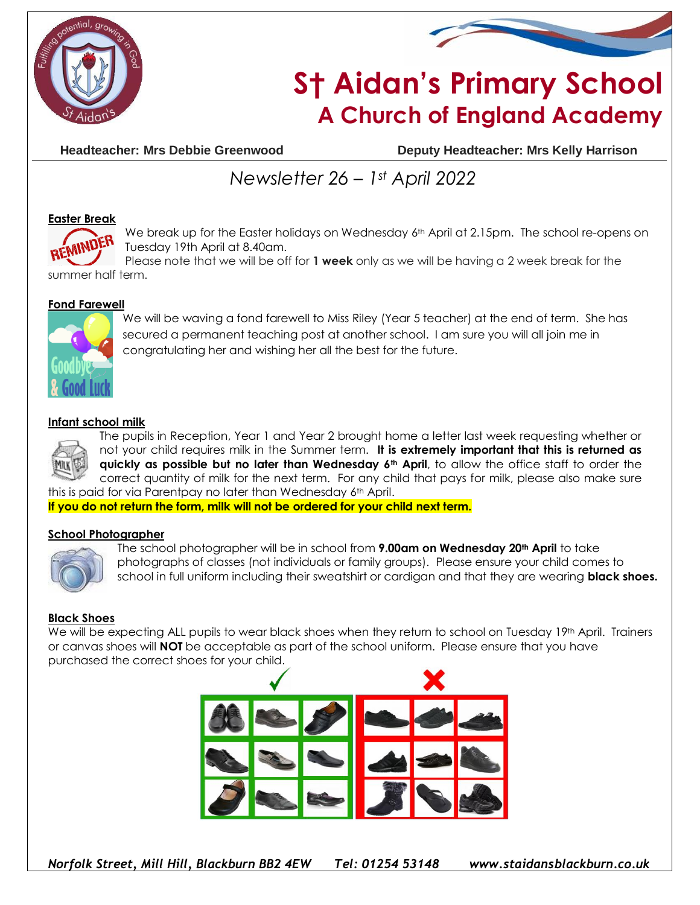



# **S† Aidan's Primary School A Church of England Academy**

**Headteacher: Mrs Debbie Greenwood Deputy Headteacher: Mrs Kelly Harrison**

## *Newsletter 26 – 1st April 2022*

#### **Easter Break**



We break up for the Easter holidays on Wednesday 6<sup>th</sup> April at 2.15pm. The school re-opens on Tuesday 19th April at 8.40am.

Please note that we will be off for **1 week** only as we will be having a 2 week break for the summer half term.

#### **Fond Farewell**



We will be waving a fond farewell to Miss Riley (Year 5 teacher) at the end of term. She has secured a permanent teaching post at another school. I am sure you will all join me in congratulating her and wishing her all the best for the future.

#### **Infant school milk**



The pupils in Reception, Year 1 and Year 2 brought home a letter last week requesting whether or not your child requires milk in the Summer term. **It is extremely important that this is returned as quickly as possible but no later than Wednesday 6th April**, to allow the office staff to order the correct quantity of milk for the next term. For any child that pays for milk, please also make sure this is paid for via Parentpay no later than Wednesday 6<sup>th</sup> April.

**If you do not return the form, milk will not be ordered for your child next term.**

#### **School Photographer**



The school photographer will be in school from **9.00am on Wednesday 20th April** to take photographs of classes (not individuals or family groups). Please ensure your child comes to school in full uniform including their sweatshirt or cardigan and that they are wearing **black shoes.**

#### **Black Shoes**

We will be expecting ALL pupils to wear black shoes when they return to school on Tuesday 19th April. Trainers or canvas shoes will **NOT** be acceptable as part of the school uniform. Please ensure that you have purchased the correct shoes for your child.

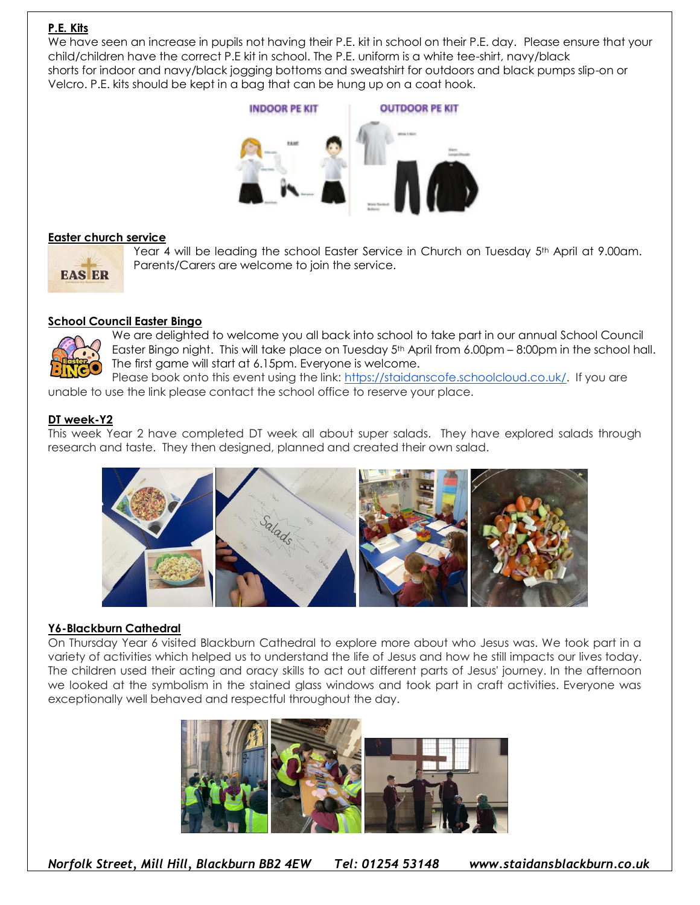### **P.E. Kits**

We have seen an increase in pupils not having their P.E. kit in school on their P.E. day. Please ensure that your child/children have the correct P.E kit in school. The P.E. uniform is a white tee-shirt, navy/black shorts for indoor and navy/black jogging bottoms and sweatshirt for outdoors and black pumps slip-on or Velcro. P.E. kits should be kept in a bag that can be hung up on a coat hook.



#### **Easter church service**

Year 4 will be leading the school Easter Service in Church on Tuesday 5<sup>th</sup> April at 9.00am. Parents/Carers are welcome to join the service.



#### **School Council Easter Bingo**



We are delighted to welcome you all back into school to take part in our annual School Council Easter Bingo night. This will take place on Tuesday 5th April from 6.00pm – 8:00pm in the school hall. The first game will start at 6.15pm. Everyone is welcome.

Please book onto this event using the link: [https://staidanscofe.schoolcloud.co.uk/.](https://staidanscofe.schoolcloud.co.uk/) If you are unable to use the link please contact the school office to reserve your place.

#### **DT week-Y2**

This week Year 2 have completed DT week all about super salads. They have explored salads through research and taste. They then designed, planned and created their own salad.



#### **Y6-Blackburn Cathedral**

On Thursday Year 6 visited Blackburn Cathedral to explore more about who Jesus was. We took part in a variety of activities which helped us to understand the life of Jesus and how he still impacts our lives today. The children used their acting and oracy skills to act out different parts of Jesus' journey. In the afternoon we looked at the symbolism in the stained glass windows and took part in craft activities. Everyone was exceptionally well behaved and respectful throughout the day.



*Norfolk Street, Mill Hill, Blackburn BB2 4EW Tel: 01254 53148 www.staidansblackburn.co.uk*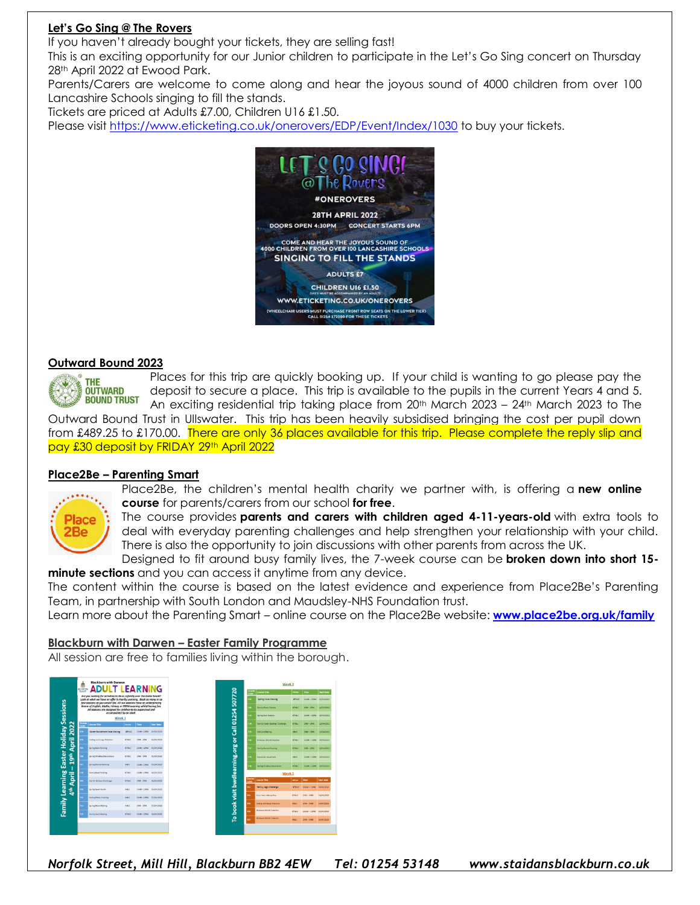#### **Let's Go Sing @ The Rovers**

If you haven't already bought your tickets, they are selling fast!

This is an exciting opportunity for our Junior children to participate in the Let's Go Sing concert on Thursday 28th April 2022 at Ewood Park.

Parents/Carers are welcome to come along and hear the joyous sound of 4000 children from over 100 Lancashire Schools singing to fill the stands.

Tickets are priced at Adults £7.00, Children U16 £1.50.

Please visit<https://www.eticketing.co.uk/onerovers/EDP/Event/Index/1030> to buy your tickets.



#### **Outward Bound 2023**



Places for this trip are quickly booking up. If your child is wanting to go please pay the deposit to secure a place. This trip is available to the pupils in the current Years 4 and 5. An exciting residential trip taking place from  $20^{th}$  March  $2023 - 24^{th}$  March 2023 to The

Outward Bound Trust in Ullswater. This trip has been heavily subsidised bringing the cost per pupil down from £489.25 to £170.00. There are only 36 places available for this trip. Please complete the reply slip and pay £30 deposit by FRIDAY 29th April 2022

#### **Place2Be – Parenting Smart**



Place2Be, the children's mental health charity we partner with, is offering a **new online course** for parents/carers from our school **for free**.

The course provides **parents and carers with children aged 4-11-years-old** with extra tools to deal with everyday parenting challenges and help strengthen your relationship with your child. There is also the opportunity to join discussions with other parents from across the UK.

Designed to fit around busy family lives, the 7-week course can be **broken down into short 15 minute sections** and you can access it anytime from any device.

The content within the course is based on the latest evidence and experience from Place2Be's Parenting Team, in partnership with South London and Maudsley-NHS Foundation trust.

Learn more about the Parenting Smart – online course on the Place2Be website: **[www.place2be.org.uk/family](http://www.place2be.org.uk/family)**

#### **Blackburn with Darwen – Easter Family Programme**

All session are free to families living within the borough.

| Ė<br><b>BLACKBURN</b>   | <b>Blackburn with Darwen</b><br><b>ADULT LEARNING</b>                                                                                                                                                                    |              |                        |                       | Week <sub>2</sub> |                                       |                |                        |
|-------------------------|--------------------------------------------------------------------------------------------------------------------------------------------------------------------------------------------------------------------------|--------------|------------------------|-----------------------|-------------------|---------------------------------------|----------------|------------------------|
| Durick                  |                                                                                                                                                                                                                          |              |                        |                       | Course<br>Code    | <b>Course Title</b>                   | <b>Version</b> | time.                  |
|                         | Are you looking for activities to do as a family over the Easter break?<br>Look at what we have on offer in Family Learning. Book as many or as<br>few sessions as you would like. All our sessions have an underpinning |              |                        |                       |                   | Spring Mask Making                    | <b>RTNLC</b>   | $10004 - 12004$        |
|                         | theme of coglish, Moths, Nistory or STEM Learning whilst having fun.<br>All sessions are designed for children to be supervised and                                                                                      |              |                        |                       |                   | <b>Carolin Phone Courses</b>          | <b>ACHA</b>    | $1088 - 3088$          |
|                         | accompanied by an adult.<br>Week <sub>1</sub>                                                                                                                                                                            |              |                        |                       | m                 | <b>Serina Sock Ratching</b>           | <b>BTNEC</b>   | 10MM - 12PM 12/04/2022 |
| Course<br>Center        | Course Title                                                                                                                                                                                                             | <b>Venus</b> | Time                   | <b>Start Date</b>     | w                 | <b>Family Tower Balding Challenge</b> | <b>BTNEC</b>   | $1888 - 3888$          |
| œ.                      | Esster Basket and Cake Making                                                                                                                                                                                            | <b>BYNUC</b> | 10040-12844            | 00/04/2622            | m                 | <b>EMCard Making</b>                  | <b>ANLC</b>    | AF65 - SPA             |
| os.                     | Cedire with Lego Roberies                                                                                                                                                                                                | <b>Kings</b> | 1264 - 2264            | 06/04/2622            | m                 | <b>Director Markt Creation</b>        | <b>KTNLC</b>   | $10444 - 12944$        |
|                         | <b>Soring Bulle Plansfies</b>                                                                                                                                                                                            | <b>TIME</b>  |                        | 10MM-12PM 05/04/2022  |                   | <b>Family Henry Painting</b>          | <b>KTNAC</b>   | $1984 - 1984$          |
|                         | Sering Window Decembers                                                                                                                                                                                                  | <b>KTHLC</b> | $1894 - 3894$          | 05/04/2622            | m                 | Cowan Ar Aquariums                    | AMA F          | 104M - 12PM 14/04/2021 |
|                         | <b>Sering Pebble Painting</b>                                                                                                                                                                                            | <b>AMC</b>   | 10080-12PM ES/04/2E22  |                       | m.                | <b>Serina Window Beneration</b>       | <b>RIMC</b>    | 10/M - 12PM 14/04/2022 |
|                         | Firmly Book Folding                                                                                                                                                                                                      | <b>KTNGC</b> |                        | 1044-12PM 06/04/2022  |                   | Week 3                                |                |                        |
| ×                       | <b>Hot Air Balmon Challenge</b>                                                                                                                                                                                          | <b>KTNGC</b> | 12041-12044            | 06/04/2622            | Cause<br>Cade     | <b>Course Yite</b>                    | Venue          | <b>Time</b>            |
| u,                      | Sering Seed Heads                                                                                                                                                                                                        | <b>AMA</b>   | 10086-12054 06/04/2022 |                       | 225               | Family Lugo Challenge                 | <b>STAC</b>    | 104M - 12PM            |
| $\overline{\mathbf{a}}$ | Family Phong Framing                                                                                                                                                                                                     | <b>AMC</b>   | 104M-12PM 67/04/2022   |                       | 334               | <b>Early Vears Messy Play</b>         | <b>KTNLC</b>   | 1014<br>1484           |
|                         | <b>Spring Mesit Making</b>                                                                                                                                                                                               | <b>ABRIC</b> | 1264 - 1294            | 07/04/2622            | 725               | Coding with Lega Robertics            | <b>AME OF</b>  | 14144<br>3094          |
| m                       | Family Card Making                                                                                                                                                                                                       | <b>KTNGC</b> |                        | 10080-12PM ER/06/2022 | 226               | <b>Diseaser World Creation</b>        | <b>KTNLC</b>   | 100M-12PM 20/04/2022   |
|                         |                                                                                                                                                                                                                          |              |                        |                       | m                 | <b>Binasaux World Creation</b>        | <b>AMES</b>    | $1894 - 3844$          |

*Norfolk Street, Mill Hill, Blackburn BB2 4EW Tel: 01254 53148 www.staidansblackburn.co.uk*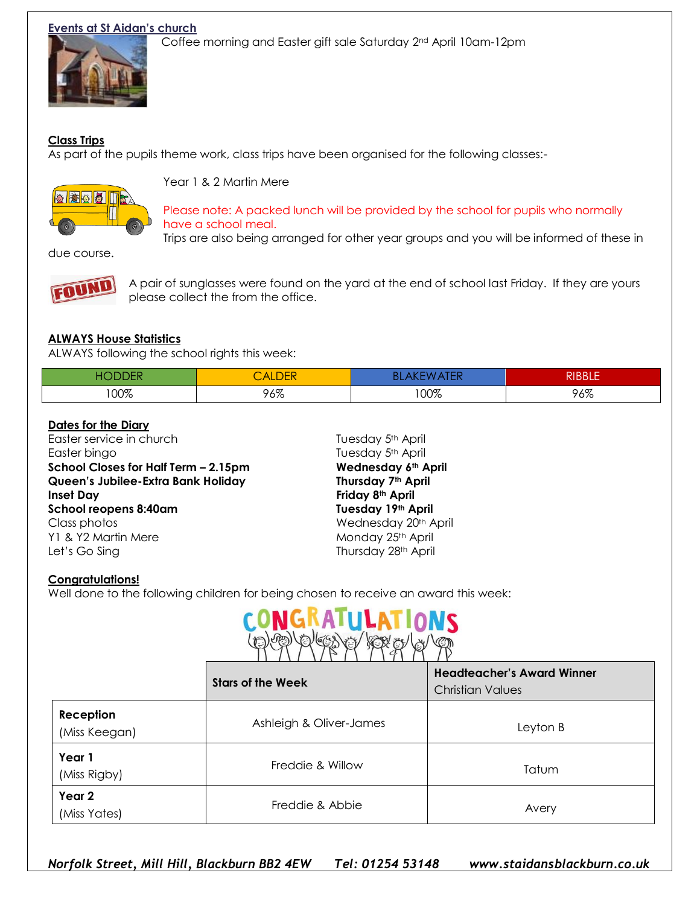#### **Events at St Aidan's church**



Coffee morning and Easter gift sale Saturday 2nd April 10am-12pm

#### **Class Trips**

As part of the pupils theme work, class trips have been organised for the following classes:-



Year 1 & 2 Martin Mere

Please note: A packed lunch will be provided by the school for pupils who normally have a school meal.

Trips are also being arranged for other year groups and you will be informed of these in

due course.



A pair of sunglasses were found on the yard at the end of school last Friday. If they are yours please collect the from the office.

### **ALWAYS House Statistics**

ALWAYS following the school rights this week:

|     | <b>ALDEN</b> | ,,, | חוממות<br>KIDDLE |
|-----|--------------|-----|------------------|
| 00% | 96%          | 00% | 96%              |

#### **Dates for the Diary**

Easter service in church Tuesday 5<sup>th</sup> April Easter bingo **Tuesday 5th April School Closes for Half Term – 2.15pm Wednesday 6th April Queen's Jubilee-Extra Bank Holiday Thursday 7th April Inset Day Friday 8th April School reopens 8:40am Tuesday 19th April** Class photos Wednesday 20th April Y1 & Y2 Martin Mere Monday 25th April Let's Go Sing Thursday 28<sup>th</sup> April

#### **Congratulations!**

Well done to the following children for being chosen to receive an award this week:



|                            | <b>Stars of the Week</b> | <b>Headteacher's Award Winner</b><br><b>Christian Values</b> |
|----------------------------|--------------------------|--------------------------------------------------------------|
| Reception<br>(Miss Keegan) | Ashleigh & Oliver-James  | Leyton B                                                     |
| Year 1<br>(Miss Rigby)     | Freddie & Willow         | Tatum                                                        |
| Year 2<br>(Miss Yates)     | Freddie & Abbie          | Avery                                                        |

*Norfolk Street, Mill Hill, Blackburn BB2 4EW Tel: 01254 53148 www.staidansblackburn.co.uk*